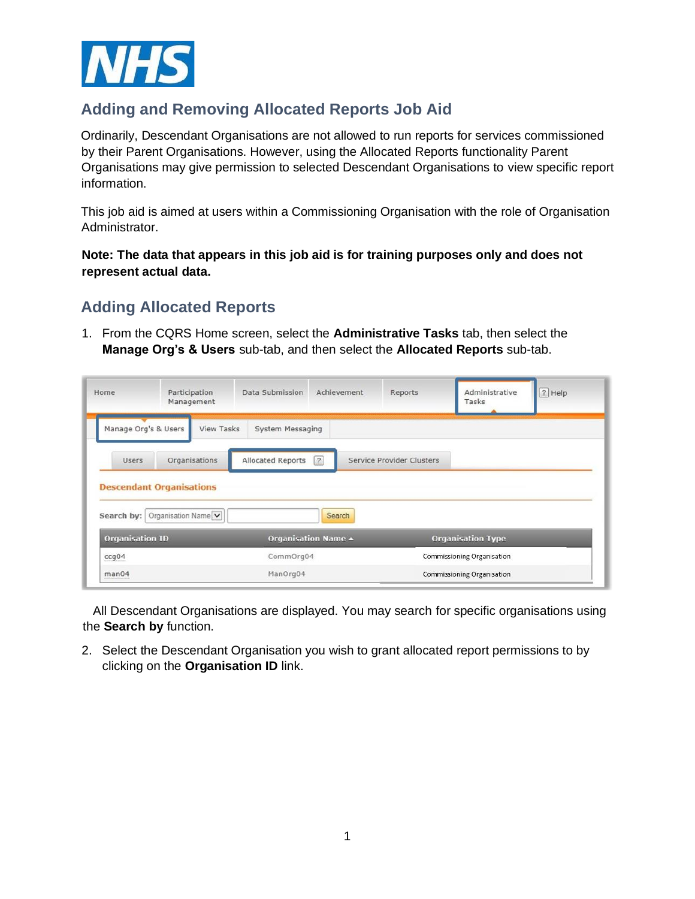

## **Adding and Removing Allocated Reports Job Aid**

Ordinarily, Descendant Organisations are not allowed to run reports for services commissioned by their Parent Organisations. However, using the Allocated Reports functionality Parent Organisations may give permission to selected Descendant Organisations to view specific report information.

This job aid is aimed at users within a Commissioning Organisation with the role of Organisation Administrator.

**Note: The data that appears in this job aid is for training purposes only and does not represent actual data.** 

## **Adding Allocated Reports**

1. From the CQRS Home screen, select the **Administrative Tasks** tab, then select the **Manage Org's & Users** sub-tab, and then select the **Allocated Reports** sub-tab.

| Home                                          | Participation<br>Management |                   | Data Submission   | Achievement         | Reports                   | Administrative<br>Tasks    | ? Help |
|-----------------------------------------------|-----------------------------|-------------------|-------------------|---------------------|---------------------------|----------------------------|--------|
| Manage Org's & Users                          |                             | <b>View Tasks</b> | System Messaging  |                     |                           |                            |        |
| <b>Users</b>                                  | Organisations               |                   | Allocated Reports | $\sqrt{2}$          | Service Provider Clusters |                            |        |
|                                               |                             |                   |                   |                     |                           |                            |        |
|                                               |                             |                   |                   |                     |                           |                            |        |
| <b>Descendant Organisations</b><br>Search by: | Organisation Name           |                   |                   | Search              |                           |                            |        |
| <b>Organisation ID</b>                        |                             |                   |                   | Organisation Name + |                           | <b>Organisation Type</b>   |        |
| ccg04                                         |                             |                   | CommOrg04         |                     |                           | Commissioning Organisation |        |

 All Descendant Organisations are displayed. You may search for specific organisations using the **Search by** function.

2. Select the Descendant Organisation you wish to grant allocated report permissions to by clicking on the **Organisation ID** link.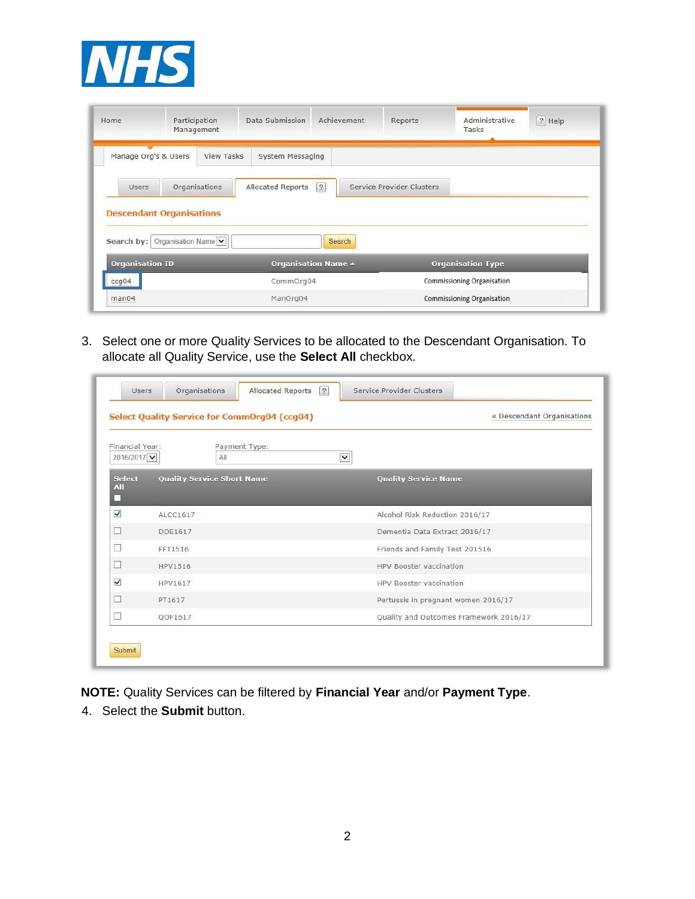

| Home                            | Participation       | Management        | Data Submission   | Achievement                | Reports                   | Administrative<br>Tasks    | $ ? $ Help |
|---------------------------------|---------------------|-------------------|-------------------|----------------------------|---------------------------|----------------------------|------------|
| Manage Org's & Users            |                     | <b>View Tasks</b> | System Messaging  |                            |                           |                            |            |
| Users                           |                     | Organisations     | Allocated Reports | $\sqrt{2}$                 | Service Provider Clusters |                            |            |
|                                 |                     |                   |                   |                            |                           |                            |            |
| <b>Descendant Organisations</b> |                     |                   |                   |                            |                           |                            |            |
| Search by:                      | Organisation Name V |                   |                   | Search                     |                           |                            |            |
| <b>Organisation ID</b>          |                     |                   |                   | <b>Organisation Name ▲</b> |                           | <b>Organisation Type</b>   |            |
| ccg04                           |                     |                   | CommOrg04         |                            |                           | Commissioning Organisation |            |

3. Select one or more Quality Services to be allocated to the Descendant Organisation. To allocate all Quality Service, use the **Select All** checkbox.

|                              | Select Quality Service for CommOrg04 (ccg04) | « Descendant Organisations             |
|------------------------------|----------------------------------------------|----------------------------------------|
| Financial Year:<br>2016/2017 | Payment Type:<br>All                         | $\checkmark$                           |
| <b>Select</b><br>AII         | <b>Quality Service Short Name</b>            | <b>Quality Service Name</b>            |
| $\blacktriangledown$         | ALCC1617                                     | Alcohol Risk Reduction 2016/17         |
| $\overline{\phantom{a}}$     | DDF1617                                      | Dementia Data Extract 2016/17          |
|                              | FFT1516                                      | Friends and Family Test 201516         |
| П                            | HPV1516                                      | HPV Booster vaccination                |
| $\blacktriangledown$         | HPV1617                                      | HPV Booster vaccination                |
| □                            | PT1617                                       | Pertussis in pregnant women 2016/17    |
|                              | OOF1617                                      | Quality and Outcomes Framework 2016/17 |

**NOTE:** Quality Services can be filtered by **Financial Year** and/or **Payment Type**.

4. Select the **Submit** button.